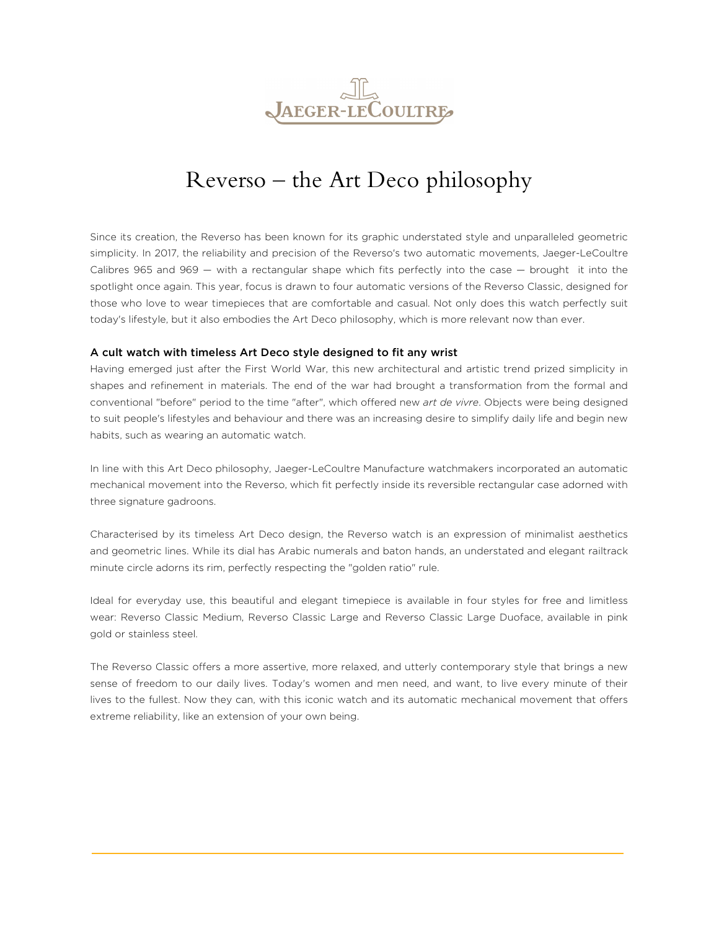

## Reverso – the Art Deco philosophy

Since its creation, the Reverso has been known for its graphic understated style and unparalleled geometric simplicity. In 2017, the reliability and precision of the Reverso's two automatic movements, Jaeger-LeCoultre Calibres 965 and 969 — with a rectangular shape which fits perfectly into the case — brought it into the spotlight once again. This year, focus is drawn to four automatic versions of the Reverso Classic, designed for those who love to wear timepieces that are comfortable and casual. Not only does this watch perfectly suit today's lifestyle, but it also embodies the Art Deco philosophy, which is more relevant now than ever.

## A cult watch with timeless Art Deco style designed to fit any wrist

Having emerged just after the First World War, this new architectural and artistic trend prized simplicity in shapes and refinement in materials. The end of the war had brought a transformation from the formal and conventional "before" period to the time "after", which offered new *art de vivre*. Objects were being designed to suit people's lifestyles and behaviour and there was an increasing desire to simplify daily life and begin new habits, such as wearing an automatic watch.

In line with this Art Deco philosophy, Jaeger-LeCoultre Manufacture watchmakers incorporated an automatic mechanical movement into the Reverso, which fit perfectly inside its reversible rectangular case adorned with three signature gadroons.

Characterised by its timeless Art Deco design, the Reverso watch is an expression of minimalist aesthetics and geometric lines. While its dial has Arabic numerals and baton hands, an understated and elegant railtrack minute circle adorns its rim, perfectly respecting the "golden ratio" rule.

Ideal for everyday use, this beautiful and elegant timepiece is available in four styles for free and limitless wear: Reverso Classic Medium, Reverso Classic Large and Reverso Classic Large Duoface, available in pink gold or stainless steel.

The Reverso Classic offers a more assertive, more relaxed, and utterly contemporary style that brings a new sense of freedom to our daily lives. Today's women and men need, and want, to live every minute of their lives to the fullest. Now they can, with this iconic watch and its automatic mechanical movement that offers extreme reliability, like an extension of your own being.